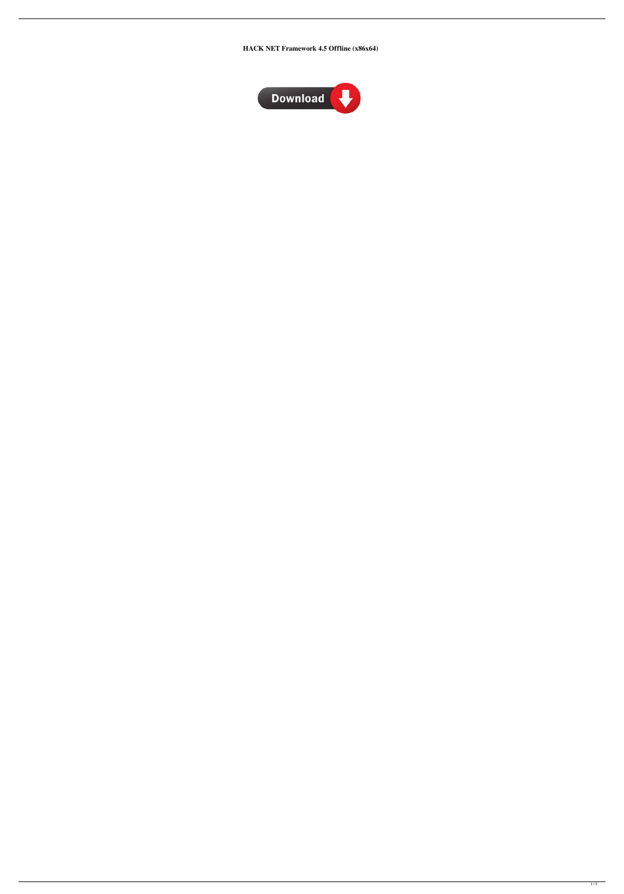**HACK NET Framework 4.5 Offline (x86x64)**